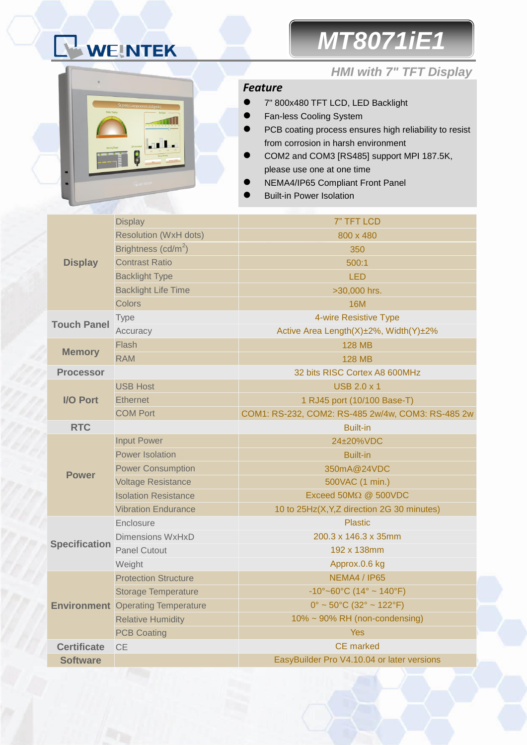# WEINTEK

## *MT8071iE1*



### *HMI with 7" TFT Display*

### *Feature*

- 7" 800x480 TFT LCD, LED Backlight
- **•** Fan-less Cooling System
- **•** PCB coating process ensures high reliability to resist from corrosion in harsh environment
- COM2 and COM3 [RS485] support MPI 187.5K, please use one at one time
- NEMA4/IP65 Compliant Front Panel
- Built-in Power Isolation

|                      | <b>Display</b>                           | 7" TFT LCD                                        |  |  |
|----------------------|------------------------------------------|---------------------------------------------------|--|--|
|                      | <b>Resolution (WxH dots)</b>             | 800 x 480                                         |  |  |
|                      | Brightness $(cd/m^2)$                    | 350                                               |  |  |
| <b>Display</b>       | <b>Contrast Ratio</b>                    | 500:1                                             |  |  |
|                      | <b>Backlight Type</b>                    | <b>LED</b>                                        |  |  |
|                      | <b>Backlight Life Time</b>               | >30,000 hrs.                                      |  |  |
|                      | <b>Colors</b>                            | <b>16M</b>                                        |  |  |
| <b>Touch Panel</b>   | <b>Type</b>                              | 4-wire Resistive Type                             |  |  |
|                      | Accuracy                                 | Active Area Length(X)±2%, Width(Y)±2%             |  |  |
|                      | Flash                                    | <b>128 MB</b>                                     |  |  |
| <b>Memory</b>        | <b>RAM</b>                               | <b>128 MB</b>                                     |  |  |
| <b>Processor</b>     |                                          | 32 bits RISC Cortex A8 600MHz                     |  |  |
|                      | <b>USB Host</b>                          | <b>USB 2.0 x 1</b>                                |  |  |
| <b>I/O Port</b>      | <b>Ethernet</b>                          | 1 RJ45 port (10/100 Base-T)                       |  |  |
|                      | <b>COM Port</b>                          | COM1: RS-232, COM2: RS-485 2w/4w, COM3: RS-485 2w |  |  |
| <b>RTC</b>           |                                          | <b>Built-in</b>                                   |  |  |
|                      | <b>Input Power</b>                       | 24±20%VDC                                         |  |  |
|                      | <b>Power Isolation</b>                   | <b>Built-in</b>                                   |  |  |
| <b>Power</b>         | <b>Power Consumption</b>                 | 350mA@24VDC                                       |  |  |
|                      | <b>Voltage Resistance</b>                | 500VAC (1 min.)                                   |  |  |
|                      | <b>Isolation Resistance</b>              | Exceed 50MΩ @ 500VDC                              |  |  |
|                      | <b>Vibration Endurance</b>               | 10 to 25Hz(X, Y, Z direction 2G 30 minutes)       |  |  |
|                      | Enclosure                                | <b>Plastic</b>                                    |  |  |
| <b>Specification</b> | Dimensions WxHxD                         | 200.3 x 146.3 x 35mm                              |  |  |
|                      | <b>Panel Cutout</b>                      | 192 x 138mm                                       |  |  |
|                      | Weight                                   | Approx.0.6 kg                                     |  |  |
|                      | <b>Protection Structure</b>              | NEMA4 / IP65                                      |  |  |
|                      | <b>Storage Temperature</b>               | $-10^{\circ}$ ~60°C (14° ~ 140°F)                 |  |  |
|                      | <b>Environment</b> Operating Temperature | $0^{\circ}$ ~ 50°C (32° ~ 122°F)                  |  |  |
|                      | <b>Relative Humidity</b>                 | 10% ~ 90% RH (non-condensing)                     |  |  |
|                      | <b>PCB Coating</b>                       | <b>Yes</b>                                        |  |  |
| <b>Certificate</b>   | <b>CE</b>                                | <b>CE</b> marked                                  |  |  |
| <b>Software</b>      |                                          | EasyBuilder Pro V4.10.04 or later versions        |  |  |